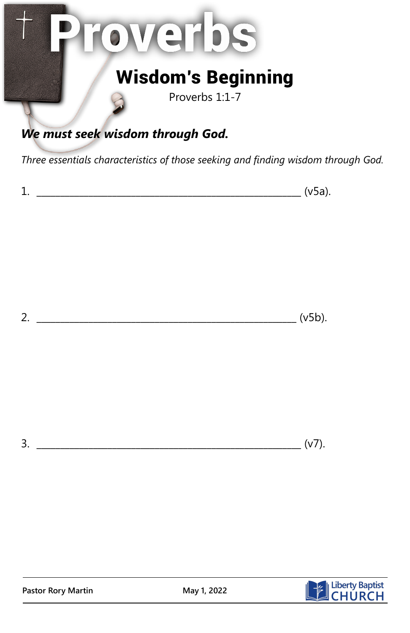## overbs

## Wisdom's Beginning

Proverbs 1:1-7

## *We must seek wisdom through God.*

*Three essentials characteristics of those seeking and finding wisdom through God.*

| - |
|---|
|---|

2.  $( v5b).$ 

3. \_\_\_\_\_\_\_\_\_\_\_\_\_\_\_\_\_\_\_\_\_\_\_\_\_\_\_\_\_\_\_\_\_\_\_\_\_\_\_\_\_\_\_\_\_\_\_\_\_\_\_\_\_\_\_\_ (v7).